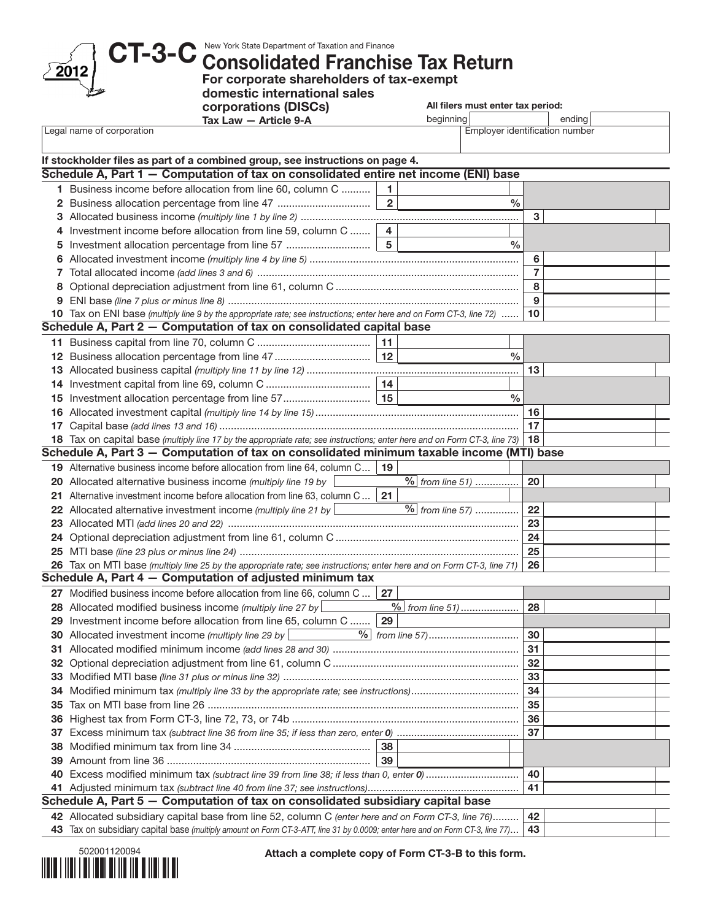CT-3-C New York State Department of Taxation and Finance Consolidated Franchise Tax Return

For corporate shareholders of tax-exempt

domestic international sales

corporations (DISCs) Tax Law — Article 9-A

|                           | Article 9-A<br>Tax Law — | beamning                             | ending |
|---------------------------|--------------------------|--------------------------------------|--------|
| Legal name of corporation |                          | <br>. Emplover identification number |        |

All filers must enter tax period:

|     | If stockholder files as part of a combined group, see instructions on page 4.                                                 |                     |                             |                |  |
|-----|-------------------------------------------------------------------------------------------------------------------------------|---------------------|-----------------------------|----------------|--|
|     | Schedule A, Part 1 – Computation of tax on consolidated entire net income (ENI) base                                          |                     |                             |                |  |
|     | 1 Business income before allocation from line 60, column C                                                                    | 1<br>$\overline{2}$ |                             |                |  |
|     | 2 Business allocation percentage from line 47                                                                                 |                     | $\%$                        |                |  |
|     |                                                                                                                               |                     |                             | 3              |  |
| 4   | Investment income before allocation from line 59, column C                                                                    | $\overline{4}$      |                             |                |  |
| 5   |                                                                                                                               |                     | %                           |                |  |
| 6   |                                                                                                                               |                     |                             | 6              |  |
|     |                                                                                                                               |                     |                             | $\overline{7}$ |  |
| 8   |                                                                                                                               |                     |                             | 8<br>9         |  |
|     | 10 Tax on ENI base (multiply line 9 by the appropriate rate; see instructions; enter here and on Form CT-3, line 72)          |                     |                             | 10             |  |
|     | Schedule A, Part 2 - Computation of tax on consolidated capital base                                                          |                     |                             |                |  |
|     |                                                                                                                               | 11                  |                             |                |  |
|     | 12 Business allocation percentage from line 47                                                                                | 12                  | $\frac{0}{0}$               |                |  |
|     |                                                                                                                               |                     |                             | 13             |  |
|     |                                                                                                                               |                     |                             |                |  |
|     |                                                                                                                               |                     | $\%$                        |                |  |
|     |                                                                                                                               |                     |                             | 16             |  |
| 17  |                                                                                                                               |                     |                             | 17             |  |
|     | 18 Tax on capital base (multiply line 17 by the appropriate rate; see instructions; enter here and on Form CT-3, line 73)     |                     |                             | 18             |  |
|     | Schedule A, Part 3 - Computation of tax on consolidated minimum taxable income (MTI) base                                     |                     |                             |                |  |
|     | 19 Alternative business income before allocation from line 64, column C                                                       | 19                  |                             |                |  |
|     | 20 Allocated alternative business income (multiply line 19 by                                                                 |                     | $\frac{9}{6}$ from line 51) | 20             |  |
| 21. | Alternative investment income before allocation from line 63, column C                                                        | 21                  |                             |                |  |
|     | 22 Allocated alternative investment income (multiply line 21 by                                                               |                     | $\frac{1}{2}$ from line 57) | 22             |  |
| 23  |                                                                                                                               |                     |                             | 23             |  |
|     |                                                                                                                               |                     |                             | 24             |  |
|     |                                                                                                                               |                     |                             | 25             |  |
|     | 26 Tax on MTI base (multiply line 25 by the appropriate rate; see instructions; enter here and on Form CT-3, line 71)         |                     |                             | 26             |  |
|     | Schedule A, Part 4 - Computation of adjusted minimum tax                                                                      |                     |                             |                |  |
|     | 27 Modified business income before allocation from line 66, column C                                                          | 27                  |                             |                |  |
|     | 28 Allocated modified business income (multiply line 27 by                                                                    |                     | $%$ from line 51)           | 28             |  |
| 29  | Investment income before allocation from line 65, column C                                                                    | 29                  |                             |                |  |
|     | 30 Allocated investment income (multiply line 29 by                                                                           |                     |                             | 30             |  |
|     |                                                                                                                               |                     |                             | 31             |  |
|     | 32 Optional depreciation adjustment from line 61, column C                                                                    |                     |                             | 32             |  |
|     |                                                                                                                               |                     |                             | 33             |  |
|     |                                                                                                                               |                     |                             | 34             |  |
| 35  |                                                                                                                               |                     |                             | 35             |  |
| 36  |                                                                                                                               |                     |                             | 36             |  |
| 37  |                                                                                                                               |                     |                             | 37             |  |
| 38  |                                                                                                                               | 38                  |                             |                |  |
| 39  |                                                                                                                               | 39                  |                             |                |  |
| 40  |                                                                                                                               |                     |                             | 40             |  |
|     | Schedule A, Part 5 - Computation of tax on consolidated subsidiary capital base                                               |                     |                             | 41             |  |
|     |                                                                                                                               |                     |                             |                |  |
|     | 42 Allocated subsidiary capital base from line 52, column C (enter here and on Form CT-3, line 76)                            |                     |                             | 42             |  |
|     | 43 Tax on subsidiary capital base (multiply amount on Form CT-3-ATT, line 31 by 0.0009; enter here and on Form CT-3, line 77) |                     |                             | 43             |  |



2012

Attach a complete copy of Form CT-3-B to this form.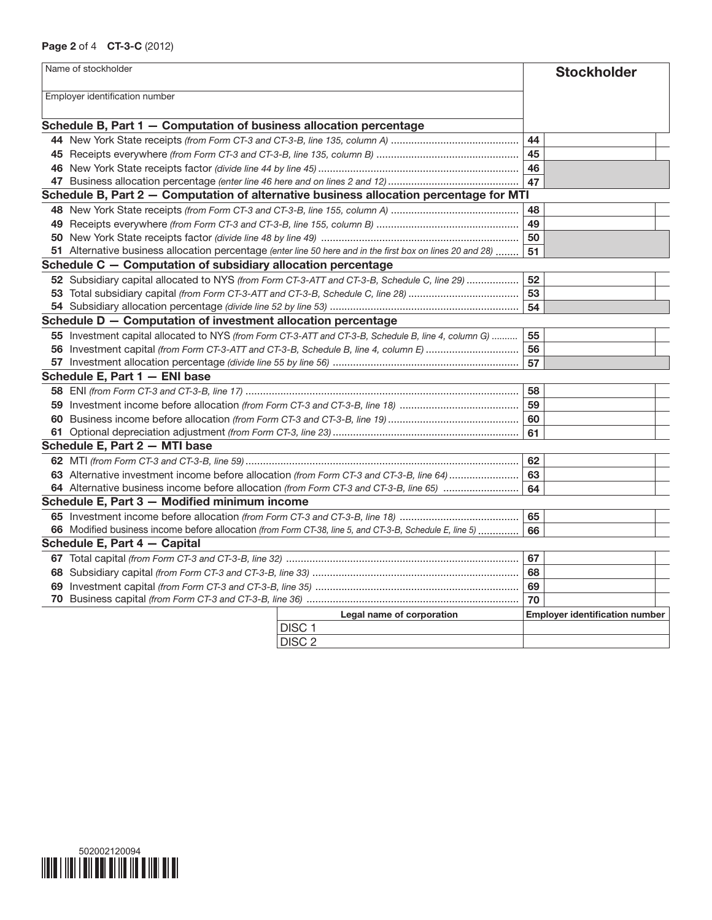## Page 2 of 4 CT-3-C (2012)

|    | Name of stockholder                                                                                        |    | <b>Stockholder</b>                    |
|----|------------------------------------------------------------------------------------------------------------|----|---------------------------------------|
|    | Employer identification number                                                                             |    |                                       |
|    |                                                                                                            |    |                                       |
|    | Schedule B, Part 1 - Computation of business allocation percentage                                         |    |                                       |
|    |                                                                                                            | 44 |                                       |
|    |                                                                                                            | 45 |                                       |
|    |                                                                                                            | 46 |                                       |
|    |                                                                                                            | 47 |                                       |
|    | Schedule B, Part 2 - Computation of alternative business allocation percentage for MTI                     |    |                                       |
|    |                                                                                                            | 48 |                                       |
|    |                                                                                                            | 49 |                                       |
|    |                                                                                                            | 50 |                                       |
|    | 51 Alternative business allocation percentage (enter line 50 here and in the first box on lines 20 and 28) | 51 |                                       |
|    | Schedule C - Computation of subsidiary allocation percentage                                               |    |                                       |
|    | 52 Subsidiary capital allocated to NYS (from Form CT-3-ATT and CT-3-B, Schedule C, line 29)                | 52 |                                       |
|    |                                                                                                            | 53 |                                       |
|    |                                                                                                            | 54 |                                       |
|    | Schedule D - Computation of investment allocation percentage                                               |    |                                       |
|    | 55 Investment capital allocated to NYS (from Form CT-3-ATT and CT-3-B, Schedule B, line 4, column G)       | 55 |                                       |
|    | 56 Investment capital (from Form CT-3-ATT and CT-3-B, Schedule B, line 4, column E)                        | 56 |                                       |
|    |                                                                                                            | 57 |                                       |
|    | Schedule E, Part 1 - ENI base                                                                              |    |                                       |
|    |                                                                                                            | 58 |                                       |
|    |                                                                                                            | 59 |                                       |
| 60 |                                                                                                            | 60 |                                       |
|    |                                                                                                            | 61 |                                       |
|    | Schedule E, Part 2 - MTI base                                                                              |    |                                       |
|    |                                                                                                            | 62 |                                       |
|    | 63 Alternative investment income before allocation (from Form CT-3 and CT-3-B, line 64)                    | 63 |                                       |
|    | 64 Alternative business income before allocation (from Form CT-3 and CT-3-B, line 65)                      | 64 |                                       |
|    | Schedule E, Part 3 - Modified minimum income                                                               |    |                                       |
|    |                                                                                                            | 65 |                                       |
|    | 66 Modified business income before allocation (from Form CT-38, line 5, and CT-3-B, Schedule E, line 5)    | 66 |                                       |
|    | Schedule E, Part 4 - Capital                                                                               |    |                                       |
|    |                                                                                                            | 67 |                                       |
|    |                                                                                                            | 68 |                                       |
|    |                                                                                                            | 69 |                                       |
|    |                                                                                                            | 70 |                                       |
|    | Legal name of corporation                                                                                  |    | <b>Employer identification number</b> |
|    | DISC <sub>1</sub>                                                                                          |    |                                       |
|    | DISC <sub>2</sub>                                                                                          |    |                                       |

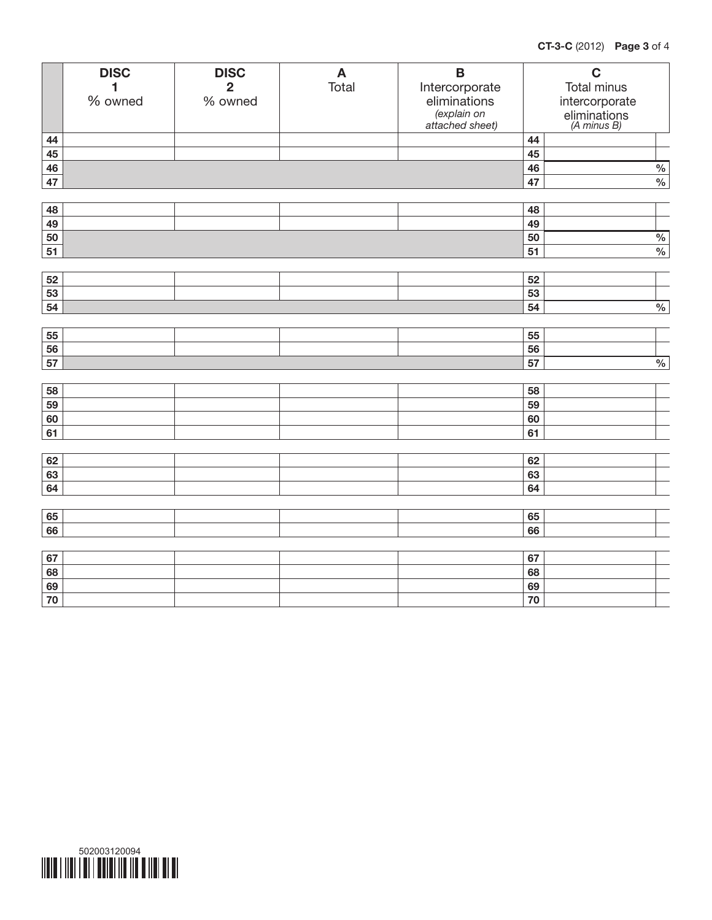|          | <b>DISC</b><br>1 | <b>DISC</b><br>$\overline{2}$ | $\boldsymbol{\mathsf{A}}$<br>Total | $\overline{\mathsf{B}}$        |          | $\mathbf C$<br>Total minus  |  |
|----------|------------------|-------------------------------|------------------------------------|--------------------------------|----------|-----------------------------|--|
|          | % owned          | % owned                       |                                    | Intercorporate<br>eliminations |          |                             |  |
|          |                  |                               |                                    | (explain on                    |          | intercorporate              |  |
|          |                  |                               |                                    | attached sheet)                |          | eliminations<br>(A minus B) |  |
| 44       |                  |                               |                                    |                                | 44       |                             |  |
| 45       |                  |                               |                                    |                                | 45       |                             |  |
| 46       |                  |                               |                                    |                                | 46       | $\frac{0}{6}$               |  |
| 47       |                  |                               |                                    |                                | 47       | $\frac{1}{2}$               |  |
|          |                  |                               |                                    |                                |          |                             |  |
| 48       |                  |                               |                                    |                                | 48       |                             |  |
| 49       |                  |                               |                                    |                                | 49       |                             |  |
| 50       |                  |                               |                                    |                                | 50       | $\frac{0}{6}$               |  |
| 51       |                  |                               |                                    |                                | 51       | $\%$                        |  |
|          |                  |                               |                                    |                                |          |                             |  |
| 52       |                  |                               |                                    |                                | 52       |                             |  |
| 53       |                  |                               |                                    |                                | 53       |                             |  |
| 54       |                  |                               |                                    |                                | 54       | $\frac{0}{6}$               |  |
|          |                  |                               |                                    |                                |          |                             |  |
| 55       |                  |                               |                                    |                                | 55       |                             |  |
| 56       |                  |                               |                                    |                                | 56       |                             |  |
| 57       |                  |                               |                                    |                                | 57       | $\frac{0}{6}$               |  |
|          |                  |                               |                                    |                                |          |                             |  |
| 58       |                  |                               |                                    |                                | 58       |                             |  |
| 59       |                  |                               |                                    |                                | 59       |                             |  |
| 60       |                  |                               |                                    |                                | 60       |                             |  |
| 61       |                  |                               |                                    |                                | 61       |                             |  |
| 62       |                  |                               |                                    |                                | 62       |                             |  |
| 63       |                  |                               |                                    |                                | 63       |                             |  |
| 64       |                  |                               |                                    |                                | 64       |                             |  |
|          |                  |                               |                                    |                                |          |                             |  |
|          |                  |                               |                                    |                                |          |                             |  |
| 65<br>66 |                  |                               |                                    |                                | 65<br>66 |                             |  |
|          |                  |                               |                                    |                                |          |                             |  |
| 67       |                  |                               |                                    |                                | 67       |                             |  |
| 68       |                  |                               |                                    |                                | 68       |                             |  |
| 69       |                  |                               |                                    |                                | 69       |                             |  |
| 70       |                  |                               |                                    |                                | 70       |                             |  |
|          |                  |                               |                                    |                                |          |                             |  |